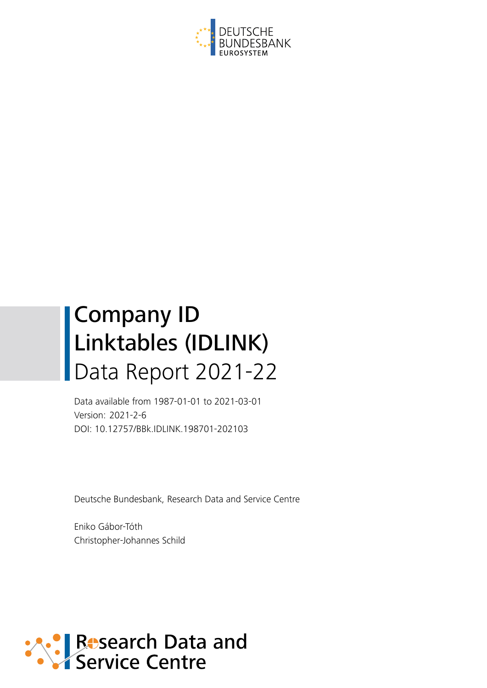

# Company ID Linktables (IDLINK) Data Report 2021-22

Data available from 1987-01-01 to 2021-03-01 Version: 2021-2-6 DOI: 10.12757/BBk.IDLINK.198701-202103

Deutsche Bundesbank, Research Data and Service Centre

Eniko Gábor-Tóth Christopher-Johannes Schild

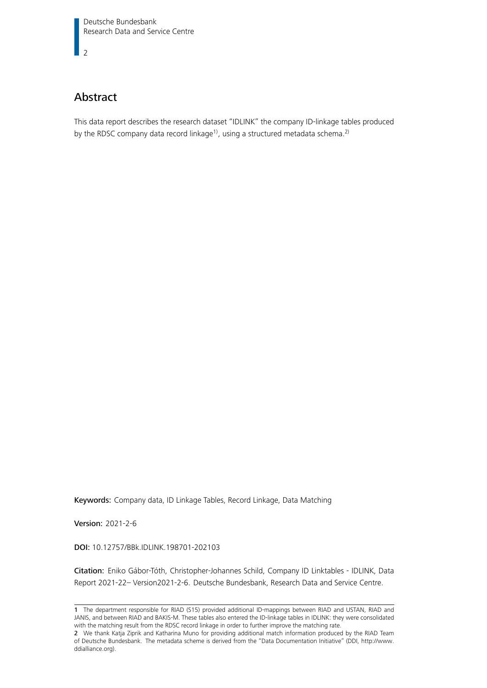$\overline{2}$ 

# Abstract

This data report describes the research dataset "IDLINK" the company ID-linkage tables produced by the RDSC company data record linkage<sup>[1\)](#page-1-0)</sup>, using a structured metadata schema.<sup>[2\)](#page-1-1)</sup>

Keywords: Company data, ID Linkage Tables, Record Linkage, Data Matching

Version: 2021-2-6

DOI: 10.12757/BBk.IDLINK.198701-202103

Citation: Eniko Gábor-Tóth, Christopher-Johannes Schild, Company ID Linktables - IDLINK, Data Report 2021-22– Version2021-2-6. Deutsche Bundesbank, Research Data and Service Centre.

<span id="page-1-0"></span><sup>1</sup> The department responsible for RIAD (S15) provided additional ID-mappings between RIAD and USTAN, RIAD and JANIS, and between RIAD and BAKIS-M. These tables also entered the ID-linkage tables in IDLINK: they were consolidated with the matching result from the RDSC record linkage in order to further improve the matching rate.

<span id="page-1-1"></span><sup>2</sup> We thank Katja Ziprik and Katharina Muno for providing additional match information produced by the RIAD Team of Deutsche Bundesbank. The metadata scheme is derived from the "Data Documentation Initiative" (DDI, [http://www.](http://www.ddialliance.org) [ddialliance.org\)](http://www.ddialliance.org).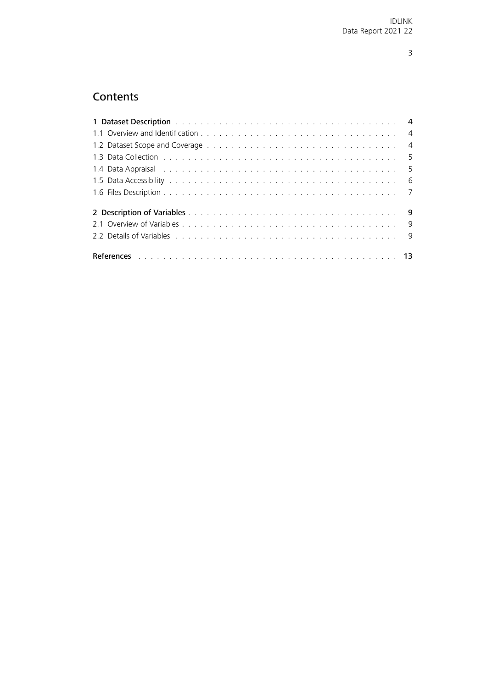# **Contents**

<span id="page-2-0"></span>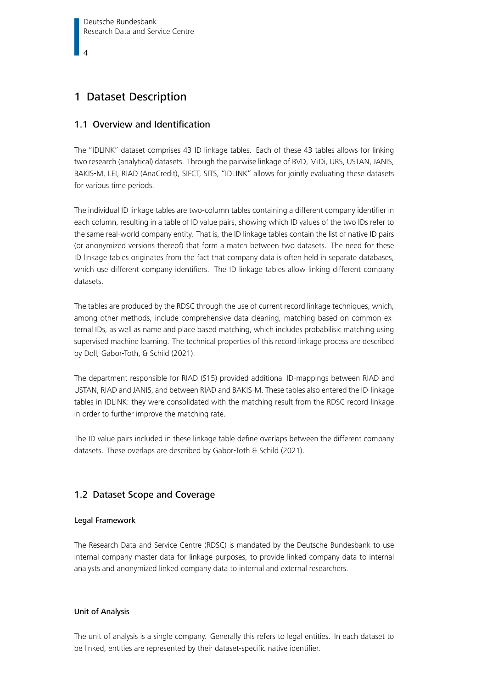# <span id="page-3-0"></span>1 Dataset Description

## 1.1 Overview and Identification

The "IDLINK" dataset comprises 43 ID linkage tables. Each of these 43 tables allows for linking two research (analytical) datasets. Through the pairwise linkage of BVD, MiDi, URS, USTAN, JANIS, BAKIS-M, LEI, RIAD (AnaCredit), SIFCT, SITS, "IDLINK" allows for jointly evaluating these datasets for various time periods.

The individual ID linkage tables are two-column tables containing a different company identifier in each column, resulting in a table of ID value pairs, showing which ID values of the two IDs refer to the same real-world company entity. That is, the ID linkage tables contain the list of native ID pairs (or anonymized versions thereof) that form a match between two datasets. The need for these ID linkage tables originates from the fact that company data is often held in separate databases, which use different company identifiers. The ID linkage tables allow linking different company datasets.

The tables are produced by the RDSC through the use of current record linkage techniques, which, among other methods, include comprehensive data cleaning, matching based on common external IDs, as well as name and place based matching, which includes probabilisic matching using supervised machine learning. The technical properties of this record linkage process are described by [Doll, Gabor-Toth, & Schild \(2021\)](#page-12-1).

The department responsible for RIAD (S15) provided additional ID-mappings between RIAD and USTAN, RIAD and JANIS, and between RIAD and BAKIS-M. These tables also entered the ID-linkage tables in IDLINK: they were consolidated with the matching result from the RDSC record linkage in order to further improve the matching rate.

The ID value pairs included in these linkage table define overlaps between the different company datasets. These overlaps are described by [Gabor-Toth & Schild \(2021\)](#page-12-2).

## <span id="page-3-1"></span>1.2 Dataset Scope and Coverage

## Legal Framework

The Research Data and Service Centre (RDSC) is mandated by the Deutsche Bundesbank to use internal company master data for linkage purposes, to provide linked company data to internal analysts and anonymized linked company data to internal and external researchers.

## Unit of Analysis

The unit of analysis is a single company. Generally this refers to legal entities. In each dataset to be linked, entities are represented by their dataset-specific native identifier.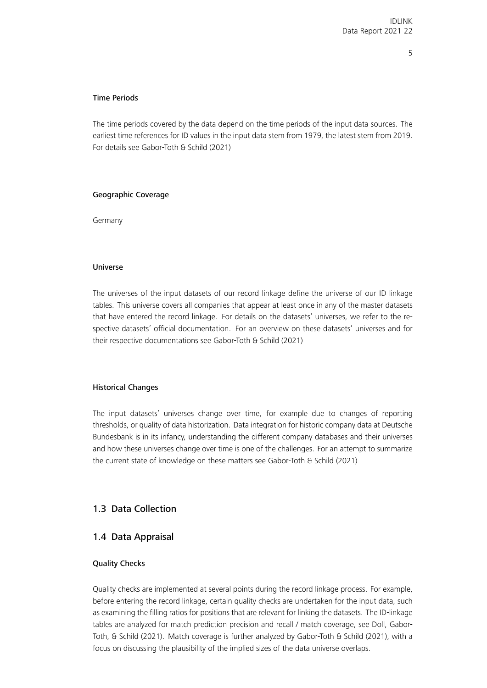#### Time Periods

The time periods covered by the data depend on the time periods of the input data sources. The earliest time references for ID values in the input data stem from 1979, the latest stem from 2019. For details see [Gabor-Toth & Schild \(2021\)](#page-12-2)

#### Geographic Coverage

Germany

#### Universe

The universes of the input datasets of our record linkage define the universe of our ID linkage tables. This universe covers all companies that appear at least once in any of the master datasets that have entered the record linkage. For details on the datasets' universes, we refer to the respective datasets' official documentation. For an overview on these datasets' universes and for their respective documentations see [Gabor-Toth & Schild \(2021\)](#page-12-2)

#### Historical Changes

The input datasets' universes change over time, for example due to changes of reporting thresholds, or quality of data historization. Data integration for historic company data at Deutsche Bundesbank is in its infancy, understanding the different company databases and their universes and how these universes change over time is one of the challenges. For an attempt to summarize the current state of knowledge on these matters see [Gabor-Toth & Schild \(2021\)](#page-12-2)

## <span id="page-4-1"></span><span id="page-4-0"></span>1.3 Data Collection

## 1.4 Data Appraisal

#### Quality Checks

Quality checks are implemented at several points during the record linkage process. For example, before entering the record linkage, certain quality checks are undertaken for the input data, such as examining the filling ratios for positions that are relevant for linking the datasets. The ID-linkage tables are analyzed for match prediction precision and recall / match coverage, see [Doll, Gabor-](#page-12-1)[Toth, & Schild \(2021\)](#page-12-1). Match coverage is further analyzed by [Gabor-Toth & Schild \(2021\)](#page-12-2), with a focus on discussing the plausibility of the implied sizes of the data universe overlaps.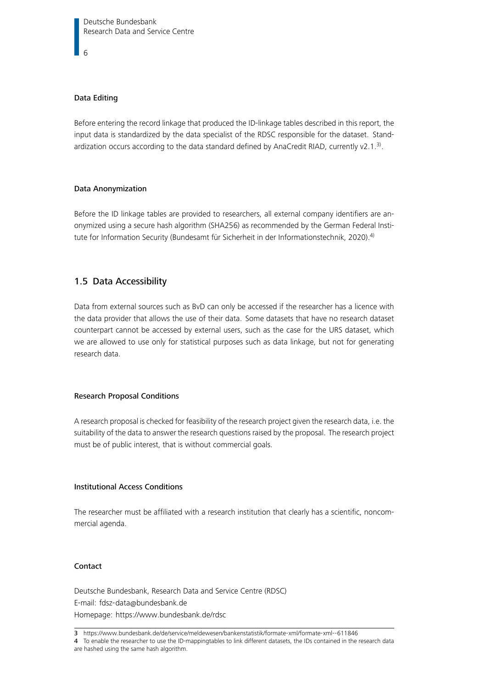## Data Editing

Before entering the record linkage that produced the ID-linkage tables described in this report, the input data is standardized by the data specialist of the RDSC responsible for the dataset. Stand-ardization occurs according to the data standard defined by AnaCredit RIAD, currently v2.1.<sup>[3\)](#page-5-1)</sup>.

#### Data Anonymization

Before the ID linkage tables are provided to researchers, all external company identifiers are anonymized using a secure hash algorithm (SHA256) as recommended by the German Federal Insti-tute for Information Security [\(Bundesamt für Sicherheit in der Informationstechnik, 2020\)](#page-12-3).<sup>[4\)](#page-5-2)</sup>

## <span id="page-5-0"></span>1.5 Data Accessibility

Data from external sources such as BvD can only be accessed if the researcher has a licence with the data provider that allows the use of their data. Some datasets that have no research dataset counterpart cannot be accessed by external users, such as the case for the URS dataset, which we are allowed to use only for statistical purposes such as data linkage, but not for generating research data.

#### Research Proposal Conditions

A research proposal is checked for feasibility of the research project given the research data, i.e. the suitability of the data to answer the research questions raised by the proposal. The research project must be of public interest, that is without commercial goals.

## Institutional Access Conditions

The researcher must be affiliated with a research institution that clearly has a scientific, noncommercial agenda.

#### Contact

Deutsche Bundesbank, Research Data and Service Centre (RDSC) E-mail: [fdsz-data@bundesbank.de](mailto:fdsz-data@bundesbank.de) Homepage:<https://www.bundesbank.de/rdsc>

<span id="page-5-2"></span>4 To enable the researcher to use the ID-mappingtables to link different datasets, the IDs contained in the research data are hashed using the same hash algorithm.

<span id="page-5-1"></span><sup>3</sup> <https://www.bundesbank.de/de/service/meldewesen/bankenstatistik/formate-xml/formate-xml--611846>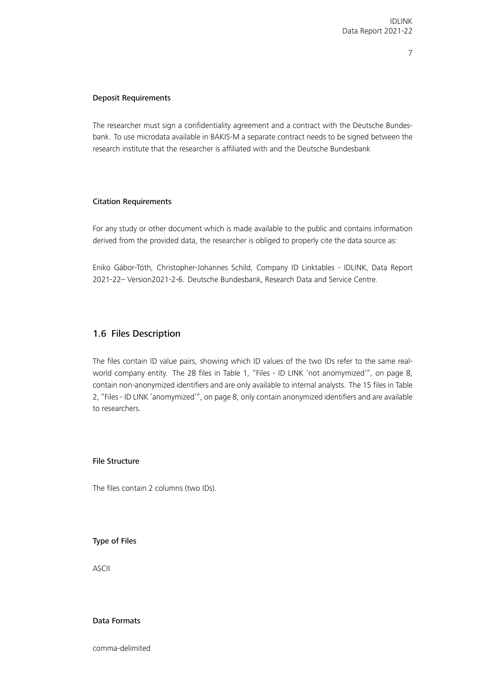## Deposit Requirements

The researcher must sign a confidentiality agreement and a contract with the Deutsche Bundesbank. To use microdata available in BAKIS-M a separate contract needs to be signed between the research institute that the researcher is affiliated with and the Deutsche Bundesbank

#### Citation Requirements

For any study or other document which is made available to the public and contains information derived from the provided data, the researcher is obliged to properly cite the data source as:

Eniko Gábor-Tóth, Christopher-Johannes Schild, Company ID Linktables - IDLINK, Data Report 2021-22– Version2021-2-6. Deutsche Bundesbank, Research Data and Service Centre.

## <span id="page-6-0"></span>1.6 Files Description

The files contain ID value pairs, showing which ID values of the two IDs refer to the same realworld company entity. The 28 files in Table [1, "Files - ID LINK 'not anomymized'"](#page-7-1), on page [8,](#page-7-1) contain non-anonymized identifiers and are only available to internal analysts. The 15 files in Table [2, "Files - ID LINK 'anomymized'"](#page-7-2), on page [8,](#page-7-2) only contain anonymized identifiers and are available to researchers.

## File Structure

The files contain 2 columns (two IDs).

#### Type of Files

ASCII

## Data Formats

comma-delimited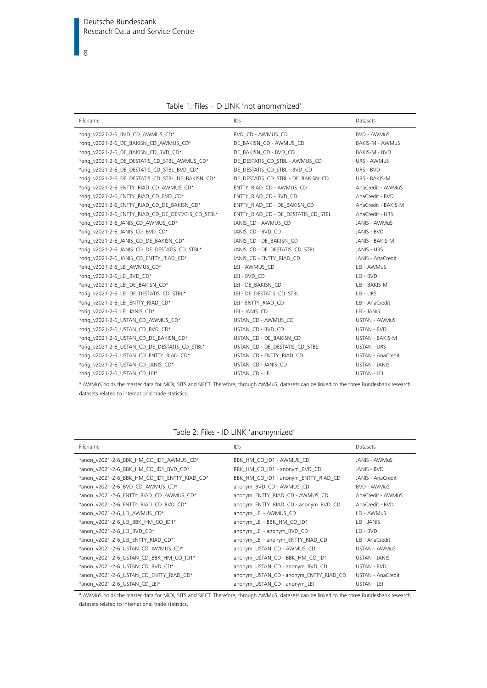| Table 1: Files - ID LINK 'not anomymized' |  |
|-------------------------------------------|--|
|-------------------------------------------|--|

<span id="page-7-1"></span>

| Filename                                           | IDs                                 | Datasets             |
|----------------------------------------------------|-------------------------------------|----------------------|
| *orig_v2021-2-6_BVD_CD_AWMUS_CD*                   | BVD CD - AWMUS CD                   | BVD - AWMuS          |
| *orig_v2021-2-6_DE_BAKISN_CD_AWMUS_CD*             | DE_BAKISN_CD - AWMUS_CD             | BAKIS-M - AWMuS      |
| *orig_v2021-2-6_DE_BAKISN_CD_BVD_CD*               | DE_BAKISN_CD - BVD_CD               | BAKIS-M - BVD        |
| *orig_v2021-2-6_DE_DESTATIS_CD_STBL_AWMUS_CD*      | DE_DESTATIS_CD_STBL - AWMUS_CD      | URS - AWMuS          |
| *oriq_v2021-2-6_DE_DESTATIS_CD_STBL_BVD_CD*        | DE DESTATIS CD STBL-BVD CD          | URS - BVD            |
| *orig_v2021-2-6_DE_DESTATIS_CD_STBL_DE_BAKISN_CD*  | DE_DESTATIS_CD_STBL - DE_BAKISN_CD  | URS - BAKIS-M        |
| *oriq_v2021-2-6_ENTTY_RIAD_CD_AWMUS_CD*            | ENTTY RIAD CD - AWMUS CD            | AnaCredit - AWMuS    |
| *orig_v2021-2-6_ENTTY_RIAD_CD_BVD_CD*              | ENTTY RIAD CD - BVD CD              | AnaCredit - BVD      |
| *orig v2021-2-6 ENTTY RIAD CD DE BAKISN CD*        | ENTTY RIAD CD - DE BAKISN CD        | AnaCredit - BAKIS-M  |
| *orig_v2021-2-6_ENTTY_RIAD_CD_DE_DESTATIS_CD_STBL* | ENTTY_RIAD_CD - DE_DESTATIS_CD_STBL | AnaCredit - URS      |
| *orig_v2021-2-6_JANIS_CD_AWMUS_CD*                 | JANIS CD - AWMUS CD                 | JANIS - AWMuS        |
| *orig_v2021-2-6_JANIS_CD_BVD_CD*                   | JANIS CD - BVD CD                   | JANIS - BVD          |
| *orig v2021-2-6 JANIS CD DE BAKISN CD*             | JANIS CD - DE BAKISN CD             | JANIS - BAKIS-M      |
| *orig_v2021-2-6_JANIS_CD_DE_DESTATIS_CD_STBL*      | JANIS_CD - DE_DESTATIS_CD_STBL      | JANIS - URS          |
| *oriq_v2021-2-6_JANIS_CD_ENTTY_RIAD_CD*            | JANIS_CD - ENTTY_RIAD_CD            | JANIS - AnaCredit    |
| *orig_v2021-2-6_LEI_AWMUS_CD*                      | LEI - AWMUS CD                      | LEI - AWMuS          |
| *orig_v2021-2-6_LEI_BVD_CD*                        | LEI - BVD_CD                        | LEI - BVD            |
| *orig_v2021-2-6_LEI_DE_BAKISN_CD*                  | LEI - DE_BAKISN_CD                  | LEI - BAKIS-M        |
| *orig_v2021-2-6_LEI_DE_DESTATIS_CD_STBL*           | LEI - DE DESTATIS CD STBL           | LEI - URS            |
| *oriq_v2021-2-6_LEI_ENTTY_RIAD_CD*                 | LEI - ENTTY_RIAD_CD                 | LEI - AnaCredit      |
| *orig_v2021-2-6_LEI_JANIS_CD*                      | LEI - JANIS CD                      | LEI - JANIS          |
| *orig_v2021-2-6_USTAN_CD_AWMUS_CD*                 | USTAN CD - AWMUS CD                 | USTAN - AWMuS        |
| *orig v2021-2-6 USTAN CD BVD CD*                   | USTAN CD - BVD CD                   | <b>USTAN - BVD</b>   |
| *orig_v2021-2-6_USTAN_CD_DE_BAKISN_CD*             | USTAN CD - DE BAKISN CD             | USTAN - BAKIS-M      |
| *orig v2021-2-6 USTAN CD DE DESTATIS CD STBL*      | USTAN CD - DE DESTATIS CD STBL      | <b>USTAN - URS</b>   |
| *orig_v2021-2-6_USTAN_CD_ENTTY_RIAD_CD*            | USTAN CD - ENTTY RIAD CD            | USTAN - AnaCredit    |
| *orig v2021-2-6 USTAN CD JANIS CD*                 | USTAN CD - JANIS CD                 | <b>USTAN - JANIS</b> |
| *orig_v2021-2-6_USTAN_CD_LEI*                      | USTAN_CD - LEI                      | USTAN - LEI          |

a AWMuS holds the master data for MiDi, SITS and SIFCT. Therefore, through AWMuS, datasets can be linked to the three Bundesbank research datasets related to international trade statistics.

| Table 2: Files - ID LINK 'anomymized' |  |  |  |  |
|---------------------------------------|--|--|--|--|
|---------------------------------------|--|--|--|--|

<span id="page-7-2"></span>

| Filename |                                              | IDs                                    | Datasets             |  |
|----------|----------------------------------------------|----------------------------------------|----------------------|--|
|          | *anon_v2021-2-6_BBK_HM_CO_ID1_AWMUS_CD*      | BBK_HM_CO_ID1 - AWMUS_CD               | JANIS - AWMuS        |  |
|          | *anon_v2021-2-6_BBK_HM_CO_ID1_BVD_CD*        | BBK_HM_CO_ID1 - anonym_BVD_CD          | JANIS - BVD          |  |
|          | *anon_v2021-2-6_BBK_HM_CO_ID1_ENTTY_RIAD_CD* | BBK_HM_CO_ID1 - anonym_ENTTY_RIAD_CD   | JANIS - AnaCredit    |  |
|          | *anon v2021-2-6 BVD CD AWMUS CD*             | anonym BVD CD - AWMUS CD               | BVD - AWMuS          |  |
|          | *anon_v2021-2-6_ENTTY_RIAD_CD_AWMUS_CD*      | anonym_ENTTY_RIAD_CD - AWMUS_CD        | AnaCredit - AWMuS    |  |
|          | *anon_v2021-2-6_ENTTY_RIAD_CD_BVD_CD*        | anonym_ENTTY_RIAD_CD - anonym_BVD_CD   | AnaCredit - BVD      |  |
|          | *anon_v2021-2-6_LEI_AWMUS_CD*                | anonym_LEI - AWMUS_CD                  | LEI - AWMuS          |  |
|          | *anon_v2021-2-6_LEI_BBK_HM_CO_ID1*           | anonym_LEI - BBK_HM_CO_ID1             | LEI - JANIS          |  |
|          | *anon_v2021-2-6_LEI_BVD_CD*                  | anonym_LEI - anonym_BVD_CD             | LEI - BVD            |  |
|          | *anon v2021-2-6 LEI ENTTY RIAD CD*           | anonym_LEI - anonym_ENTTY_RIAD_CD      | LEI - AnaCredit      |  |
|          | *anon_v2021-2-6_USTAN_CD_AWMUS_CD*           | anonym_USTAN_CD - AWMUS_CD             | USTAN - AWMuS        |  |
|          | *anon_v2021-2-6_USTAN_CD_BBK_HM_CO_ID1*      | anonym_USTAN_CD - BBK_HM_CO_ID1        | <b>USTAN - JANIS</b> |  |
|          | *anon v2021-2-6 USTAN CD BVD CD*             | anonym_USTAN_CD - anonym_BVD_CD        | <b>USTAN - BVD</b>   |  |
|          | *anon_v2021-2-6_USTAN_CD_ENTTY_RIAD_CD*      | anonym_USTAN_CD - anonym_ENTTY_RIAD_CD | USTAN - AnaCredit    |  |
|          | *anon v2021-2-6 USTAN CD LEI*                | anonym USTAN CD - anonym LEI           | <b>USTAN - LEI</b>   |  |
|          |                                              |                                        |                      |  |

<span id="page-7-0"></span><sup>a</sup> AWMuS holds the master data for MiDi, SITS and SIFCT. Therefore, through AWMuS, datasets can be linked to the three Bundesbank research datasets related to international trade statistics.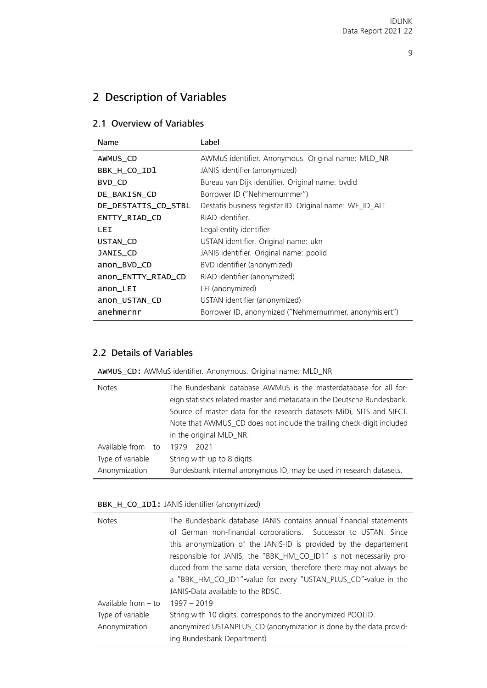# 2 Description of Variables

## <span id="page-8-0"></span>2.1 Overview of Variables

| Name                | Label                                                   |
|---------------------|---------------------------------------------------------|
| AWMUS_CD            | AWMuS identifier. Anonymous. Original name: MLD_NR      |
| BBK_H_CO_ID1        | JANIS identifier (anonymized)                           |
| BVD_CD              | Bureau van Dijk identifier. Original name: bvdid        |
| DE_BAKISN_CD        | Borrower ID ("Nehmernummer")                            |
| DE_DESTATIS_CD_STBL | Destatis business register ID. Original name: WE_ID_ALT |
| ENTTY_RIAD_CD       | RIAD identifier.                                        |
| LEI                 | Legal entity identifier                                 |
| USTAN_CD            | USTAN identifier. Original name: ukn                    |
| JANIS_CD            | JANIS identifier. Original name: poolid                 |
| anon_BVD_CD         | BVD identifier (anonymized)                             |
| anon_ENTTY_RIAD_CD  | RIAD identifier (anonymized)                            |
| anon_LEI            | LEI (anonymized)                                        |
| anon_USTAN_CD       | USTAN identifier (anonymized)                           |
| anehmernr           | Borrower ID, anonymized ("Nehmernummer, anonymisiert")  |

## <span id="page-8-1"></span>2.2 Details of Variables

<span id="page-8-2"></span>AWMUS\_CD: AWMuS identifier. Anonymous. Original name: MLD\_NR

| <b>Notes</b>          | The Bundesbank database AWMuS is the masterdatabase for all for-<br>eign statistics related master and metadata in the Deutsche Bundesbank. |
|-----------------------|---------------------------------------------------------------------------------------------------------------------------------------------|
|                       | Source of master data for the research datasets MiDi, SITS and SIFCT.                                                                       |
|                       | Note that AWMUS_CD does not include the trailing check-digit included                                                                       |
|                       | in the original MLD_NR.                                                                                                                     |
| Available from $-$ to | $1979 - 2021$                                                                                                                               |
| Type of variable      | String with up to 8 digits.                                                                                                                 |
| Anonymization         | Bundesbank internal anonymous ID, may be used in research datasets.                                                                         |

<span id="page-8-3"></span>BBK\_H\_CO\_ID1: JANIS identifier (anonymized)

| <b>Notes</b>          | The Bundesbank database JANIS contains annual financial statements  |
|-----------------------|---------------------------------------------------------------------|
|                       | of German non-financial corporations. Successor to USTAN. Since     |
|                       | this anonymization of the JANIS-ID is provided by the departement   |
|                       | responsible for JANIS, the "BBK_HM_CO_ID1" is not necessarily pro-  |
|                       | duced from the same data version, therefore there may not always be |
|                       | a "BBK_HM_CO_ID1"-value for every "USTAN_PLUS_CD"-value in the      |
|                       | JANIS-Data available to the RDSC.                                   |
| Available from $-$ to | $1997 - 2019$                                                       |
| Type of variable      | String with 10 digits, corresponds to the anonymized POOLID.        |
| Anonymization         | anonymized USTANPLUS_CD (anonymization is done by the data provid-  |
|                       | ing Bundesbank Department)                                          |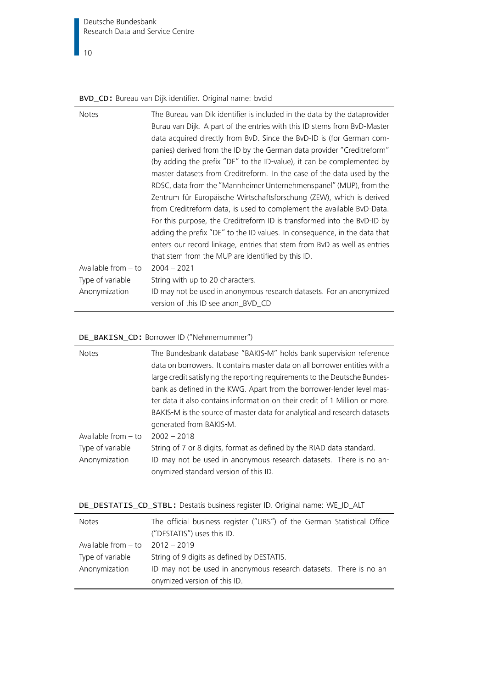Deutsche Bundesbank Research Data and Service Centre

## 10

## <span id="page-9-0"></span>BVD\_CD: Bureau van Dijk identifier. Original name: bvdid

| <b>Notes</b>        | The Bureau van Dik identifier is included in the data by the dataprovider |
|---------------------|---------------------------------------------------------------------------|
|                     | Burau van Dijk. A part of the entries with this ID stems from BvD-Master  |
|                     | data acquired directly from BvD. Since the BvD-ID is (for German com-     |
|                     | panies) derived from the ID by the German data provider "Creditreform"    |
|                     | (by adding the prefix "DE" to the ID-value), it can be complemented by    |
|                     | master datasets from Creditreform. In the case of the data used by the    |
|                     | RDSC, data from the "Mannheimer Unternehmenspanel" (MUP), from the        |
|                     | Zentrum für Europäische Wirtschaftsforschung (ZEW), which is derived      |
|                     | from Creditreform data, is used to complement the available BvD-Data.     |
|                     | For this purpose, the Creditreform ID is transformed into the BvD-ID by   |
|                     | adding the prefix "DE" to the ID values. In consequence, in the data that |
|                     | enters our record linkage, entries that stem from BvD as well as entries  |
|                     | that stem from the MUP are identified by this ID.                         |
| Available from - to | $2004 - 2021$                                                             |
| Type of variable    | String with up to 20 characters.                                          |
| Anonymization       | ID may not be used in anonymous research datasets. For an anonymized      |
|                     | version of this ID see anon_BVD_CD                                        |

## <span id="page-9-1"></span>DE\_BAKISN\_CD: Borrower ID ("Nehmernummer")

| <b>Notes</b>          | The Bundesbank database "BAKIS-M" holds bank supervision reference<br>data on borrowers. It contains master data on all borrower entities with a<br>large credit satisfying the reporting requirements to the Deutsche Bundes-<br>bank as defined in the KWG. Apart from the borrower-lender level mas-<br>ter data it also contains information on their credit of 1 Million or more.<br>BAKIS-M is the source of master data for analytical and research datasets<br>generated from BAKIS-M. |
|-----------------------|------------------------------------------------------------------------------------------------------------------------------------------------------------------------------------------------------------------------------------------------------------------------------------------------------------------------------------------------------------------------------------------------------------------------------------------------------------------------------------------------|
| Available from $-$ to | $2002 - 2018$                                                                                                                                                                                                                                                                                                                                                                                                                                                                                  |
| Type of variable      | String of 7 or 8 digits, format as defined by the RIAD data standard.                                                                                                                                                                                                                                                                                                                                                                                                                          |
| Anonymization         | ID may not be used in anonymous research datasets. There is no an-<br>onymized standard version of this ID.                                                                                                                                                                                                                                                                                                                                                                                    |

<span id="page-9-2"></span>

|  | DE_DESTATIS_CD_STBL: Destatis business register ID. Original name: WE_ID_ALT |  |  |
|--|------------------------------------------------------------------------------|--|--|
|  |                                                                              |  |  |

| <b>Notes</b>                        | The official business register ("URS") of the German Statistical Office |
|-------------------------------------|-------------------------------------------------------------------------|
|                                     | ("DESTATIS") uses this ID.                                              |
| Available from $-$ to $2012 - 2019$ |                                                                         |
| Type of variable                    | String of 9 digits as defined by DESTATIS.                              |
| Anonymization                       | ID may not be used in anonymous research datasets. There is no an-      |
|                                     | onymized version of this ID.                                            |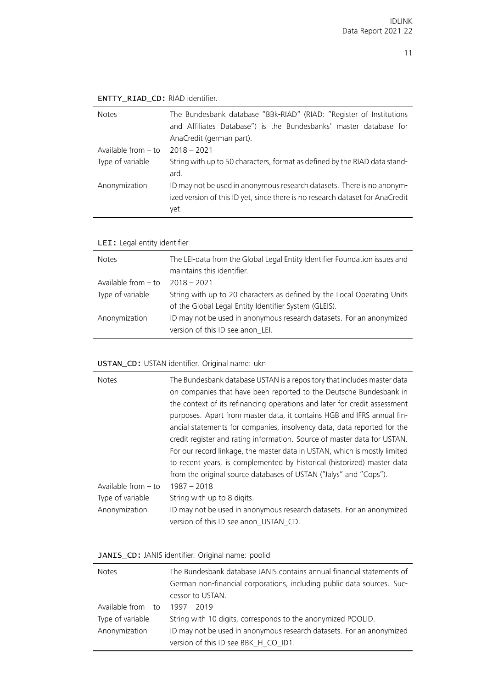| <b>Notes</b>          | The Bundesbank database "BBk-RIAD" (RIAD: "Register of Institutions<br>and Affiliates Database") is the Bundesbanks' master database for<br>AnaCredit (german part). |
|-----------------------|----------------------------------------------------------------------------------------------------------------------------------------------------------------------|
| Available from $-$ to | $2018 - 2021$                                                                                                                                                        |
| Type of variable      | String with up to 50 characters, format as defined by the RIAD data stand-<br>ard.                                                                                   |
| Anonymization         | ID may not be used in anonymous research datasets. There is no anonym-<br>ized version of this ID yet, since there is no research dataset for AnaCredit<br>yet.      |

## <span id="page-10-0"></span>ENTTY\_RIAD\_CD: RIAD identifier.

# <span id="page-10-1"></span>LEI: Legal entity identifier

| <b>Notes</b>          | The LEI-data from the Global Legal Entity Identifier Foundation issues and<br>maintains this identifier.                         |
|-----------------------|----------------------------------------------------------------------------------------------------------------------------------|
| Available from $-$ to | $2018 - 2021$                                                                                                                    |
| Type of variable      | String with up to 20 characters as defined by the Local Operating Units<br>of the Global Legal Entity Identifier System (GLEIS). |
| Anonymization         | ID may not be used in anonymous research datasets. For an anonymized<br>version of this ID see anon_LEI.                         |

## <span id="page-10-2"></span>USTAN\_CD: USTAN identifier. Original name: ukn

| <b>Notes</b>          | The Bundesbank database USTAN is a repository that includes master data<br>on companies that have been reported to the Deutsche Bundesbank in |
|-----------------------|-----------------------------------------------------------------------------------------------------------------------------------------------|
|                       | the context of its refinancing operations and later for credit assessment                                                                     |
|                       | purposes. Apart from master data, it contains HGB and IFRS annual fin-                                                                        |
|                       | ancial statements for companies, insolvency data, data reported for the                                                                       |
|                       | credit register and rating information. Source of master data for USTAN.                                                                      |
|                       | For our record linkage, the master data in USTAN, which is mostly limited                                                                     |
|                       | to recent years, is complemented by historical (historized) master data                                                                       |
|                       | from the original source databases of USTAN ("Jalys" and "Cops").                                                                             |
| Available from $-$ to | $1987 - 2018$                                                                                                                                 |
| Type of variable      | String with up to 8 digits.                                                                                                                   |
| Anonymization         | ID may not be used in anonymous research datasets. For an anonymized                                                                          |
|                       | version of this ID see anon_USTAN_CD.                                                                                                         |

## <span id="page-10-3"></span>JANIS\_CD: JANIS identifier. Original name: poolid

| <b>Notes</b>          | The Bundesbank database JANIS contains annual financial statements of  |
|-----------------------|------------------------------------------------------------------------|
|                       | German non-financial corporations, including public data sources. Suc- |
|                       | cessor to USTAN.                                                       |
| Available from $-$ to | $1997 - 2019$                                                          |
| Type of variable      | String with 10 digits, corresponds to the anonymized POOLID.           |
| Anonymization         | ID may not be used in anonymous research datasets. For an anonymized   |
|                       | version of this ID see BBK_H_CO_ID1.                                   |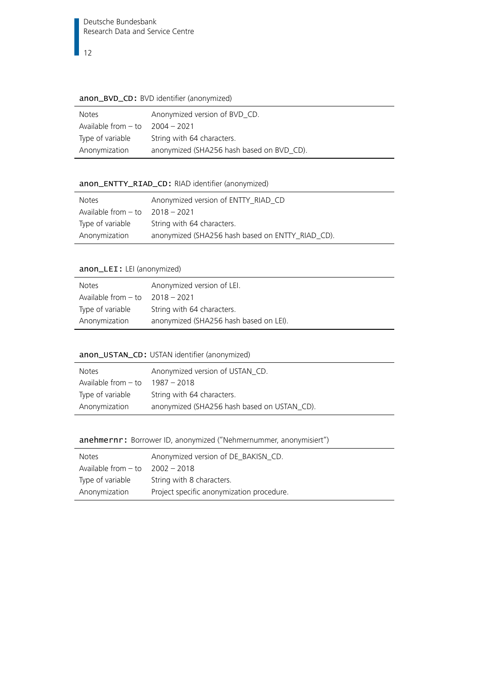#### <span id="page-11-0"></span>anon\_BVD\_CD: BVD identifier (anonymized)

| Notes               | Anonymized version of BVD_CD.             |
|---------------------|-------------------------------------------|
| Available from - to | 2004 – 2021                               |
| Type of variable    | String with 64 characters.                |
| Anonymization       | anonymized (SHA256 hash based on BVD_CD). |

## <span id="page-11-1"></span>anon\_ENTTY\_RIAD\_CD: RIAD identifier (anonymized)

| <b>Notes</b>                        | Anonymized version of ENTTY_RIAD_CD              |
|-------------------------------------|--------------------------------------------------|
| Available from $-$ to $2018 - 2021$ |                                                  |
| Type of variable                    | String with 64 characters.                       |
| Anonymization                       | anonymized (SHA256 hash based on ENTTY_RIAD_CD). |

## <span id="page-11-2"></span>anon\_LEI: LEI (anonymized)

| Notes                               | Anonymized version of LEI.             |
|-------------------------------------|----------------------------------------|
| Available from $-$ to $2018 - 2021$ |                                        |
| Type of variable                    | String with 64 characters.             |
| Anonymization                       | anonymized (SHA256 hash based on LEI). |

## <span id="page-11-3"></span>anon\_USTAN\_CD: USTAN identifier (anonymized)

| <b>Notes</b>          | Anonymized version of USTAN_CD.             |
|-----------------------|---------------------------------------------|
| Available from $-$ to | 1987 - 2018                                 |
| Type of variable      | String with 64 characters.                  |
| Anonymization         | anonymized (SHA256 hash based on USTAN_CD). |

## <span id="page-11-4"></span>anehmernr: Borrower ID, anonymized ("Nehmernummer, anonymisiert")

| <b>Notes</b>                        | Anonymized version of DE_BAKISN_CD.       |
|-------------------------------------|-------------------------------------------|
| Available from $-$ to $2002 - 2018$ |                                           |
| Type of variable                    | String with 8 characters.                 |
| Anonymization                       | Project specific anonymization procedure. |